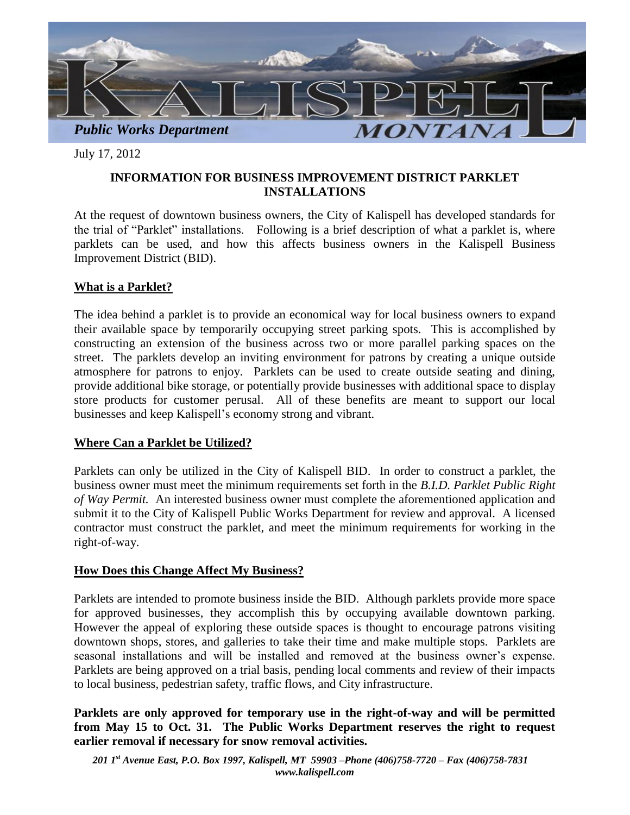

July 17, 2012

## **INFORMATION FOR BUSINESS IMPROVEMENT DISTRICT PARKLET INSTALLATIONS**

At the request of downtown business owners, the City of Kalispell has developed standards for the trial of "Parklet" installations. Following is a brief description of what a parklet is, where parklets can be used, and how this affects business owners in the Kalispell Business Improvement District (BID).

## **What is a Parklet?**

The idea behind a parklet is to provide an economical way for local business owners to expand their available space by temporarily occupying street parking spots. This is accomplished by constructing an extension of the business across two or more parallel parking spaces on the street. The parklets develop an inviting environment for patrons by creating a unique outside atmosphere for patrons to enjoy. Parklets can be used to create outside seating and dining, provide additional bike storage, or potentially provide businesses with additional space to display store products for customer perusal. All of these benefits are meant to support our local businesses and keep Kalispell's economy strong and vibrant.

## **Where Can a Parklet be Utilized?**

Parklets can only be utilized in the City of Kalispell BID. In order to construct a parklet, the business owner must meet the minimum requirements set forth in the *B.I.D. Parklet Public Right of Way Permit.* An interested business owner must complete the aforementioned application and submit it to the City of Kalispell Public Works Department for review and approval. A licensed contractor must construct the parklet, and meet the minimum requirements for working in the right-of-way.

## **How Does this Change Affect My Business?**

Parklets are intended to promote business inside the BID. Although parklets provide more space for approved businesses, they accomplish this by occupying available downtown parking. However the appeal of exploring these outside spaces is thought to encourage patrons visiting downtown shops, stores, and galleries to take their time and make multiple stops. Parklets are seasonal installations and will be installed and removed at the business owner's expense. Parklets are being approved on a trial basis, pending local comments and review of their impacts to local business, pedestrian safety, traffic flows, and City infrastructure.

**Parklets are only approved for temporary use in the right-of-way and will be permitted from May 15 to Oct. 31. The Public Works Department reserves the right to request earlier removal if necessary for snow removal activities.**

*201 1st Avenue East, P.O. Box 1997, Kalispell, MT 59903 –Phone (406)758-7720 – Fax (406)758-7831 www.kalispell.com*